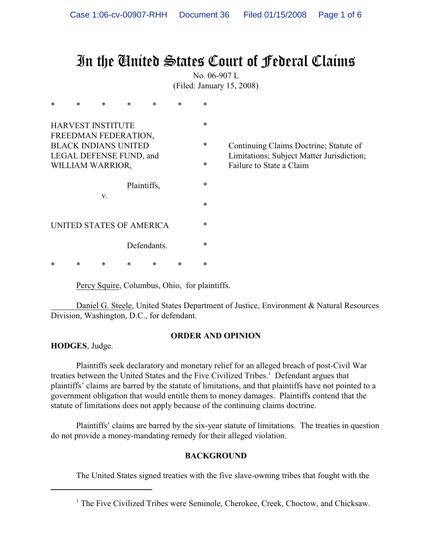# In the United States Court of Federal Claims

No. 06-907 L (Filed: January 15, 2008)

| *                                                      | $\ast$ | $\ast$ | $\ast$      | $\ast$ | $\ast$ | $\ast$ |                                                                                     |
|--------------------------------------------------------|--------|--------|-------------|--------|--------|--------|-------------------------------------------------------------------------------------|
| <b>HARVEST INSTITUTE</b><br>FREEDMAN FEDERATION,       |        |        |             |        |        | $\ast$ |                                                                                     |
| <b>BLACK INDIANS UNITED</b><br>LEGAL DEFENSE FUND, and |        |        |             |        |        | ∗      | Continuing Claims Doctrine; Statute of<br>Limitations; Subject Matter Jurisdiction; |
| WILLIAM WARRIOR,                                       |        |        |             |        |        | ∗      | Failure to State a Claim                                                            |
|                                                        |        |        | Plaintiffs, |        |        | ∗      |                                                                                     |
|                                                        |        | V.     |             |        |        | ∗      |                                                                                     |
| UNITED STATES OF AMERICA                               |        |        |             |        |        | ∗      |                                                                                     |
| Defendants.                                            |        |        |             |        |        | ∗      |                                                                                     |
| *                                                      | ∗      | ∗      | *           | *      | *      | ∗      |                                                                                     |

Percy Squire, Columbus, Ohio, for plaintiffs.

Daniel G. Steele, United States Department of Justice, Environment & Natural Resources Division, Washington, D.C., for defendant.

## **ORDER AND OPINION**

**HODGES**, Judge.

Plaintiffs seek declaratory and monetary relief for an alleged breach of post-Civil War treaties between the United States and the Five Civilized Tribes.<sup>1</sup> Defendant argues that plaintiffs' claims are barred by the statute of limitations, and that plaintiffs have not pointed to a government obligation that would entitle them to money damages. Plaintiffs contend that the statute of limitations does not apply because of the continuing claims doctrine.

Plaintiffs' claims are barred by the six-year statute of limitations. The treaties in question do not provide a money-mandating remedy for their alleged violation.

## **BACKGROUND**

The United States signed treaties with the five slave-owning tribes that fought with the

<sup>&</sup>lt;sup>1</sup> The Five Civilized Tribes were Seminole, Cherokee, Creek, Choctow, and Chicksaw.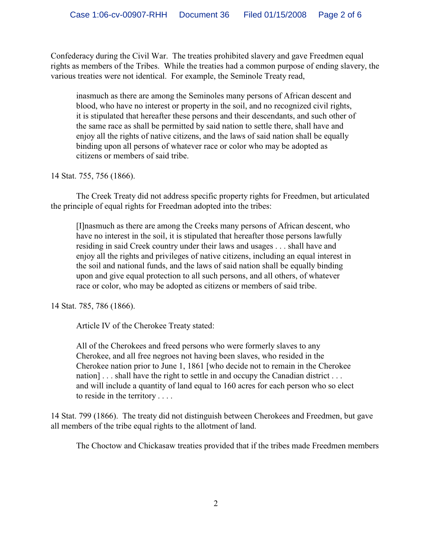Confederacy during the Civil War. The treaties prohibited slavery and gave Freedmen equal rights as members of the Tribes. While the treaties had a common purpose of ending slavery, the various treaties were not identical. For example, the Seminole Treaty read,

inasmuch as there are among the Seminoles many persons of African descent and blood, who have no interest or property in the soil, and no recognized civil rights, it is stipulated that hereafter these persons and their descendants, and such other of the same race as shall be permitted by said nation to settle there, shall have and enjoy all the rights of native citizens, and the laws of said nation shall be equally binding upon all persons of whatever race or color who may be adopted as citizens or members of said tribe.

14 Stat. 755, 756 (1866).

The Creek Treaty did not address specific property rights for Freedmen, but articulated the principle of equal rights for Freedman adopted into the tribes:

[I]nasmuch as there are among the Creeks many persons of African descent, who have no interest in the soil, it is stipulated that hereafter those persons lawfully residing in said Creek country under their laws and usages . . . shall have and enjoy all the rights and privileges of native citizens, including an equal interest in the soil and national funds, and the laws of said nation shall be equally binding upon and give equal protection to all such persons, and all others, of whatever race or color, who may be adopted as citizens or members of said tribe.

14 Stat. 785, 786 (1866).

Article IV of the Cherokee Treaty stated:

All of the Cherokees and freed persons who were formerly slaves to any Cherokee, and all free negroes not having been slaves, who resided in the Cherokee nation prior to June 1, 1861 [who decide not to remain in the Cherokee nation]... shall have the right to settle in and occupy the Canadian district ... and will include a quantity of land equal to 160 acres for each person who so elect to reside in the territory . . . .

14 Stat. 799 (1866). The treaty did not distinguish between Cherokees and Freedmen, but gave all members of the tribe equal rights to the allotment of land.

The Choctow and Chickasaw treaties provided that if the tribes made Freedmen members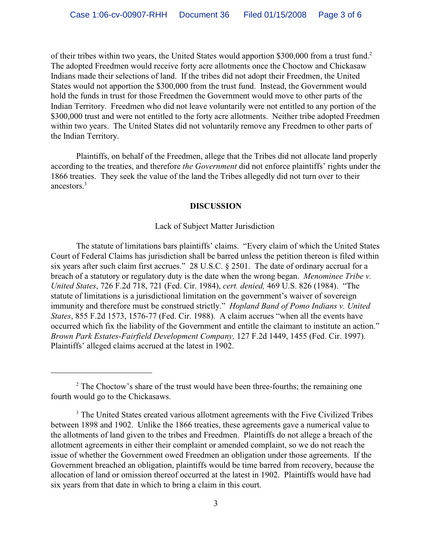of their tribes within two years, the United States would apportion \$300,000 from a trust fund.<sup>2</sup> The adopted Freedmen would receive forty acre allotments once the Choctow and Chickasaw Indians made their selections of land. If the tribes did not adopt their Freedmen, the United States would not apportion the \$300,000 from the trust fund. Instead, the Government would hold the funds in trust for those Freedmen the Government would move to other parts of the Indian Territory. Freedmen who did not leave voluntarily were not entitled to any portion of the \$300,000 trust and were not entitled to the forty acre allotments. Neither tribe adopted Freedmen within two years. The United States did not voluntarily remove any Freedmen to other parts of the Indian Territory.

Plaintiffs, on behalf of the Freedmen, allege that the Tribes did not allocate land properly according to the treaties, and therefore *the Government* did not enforce plaintiffs' rights under the 1866 treaties. They seek the value of the land the Tribes allegedly did not turn over to their ancestors. 3

#### **DISCUSSION**

#### Lack of Subject Matter Jurisdiction

The statute of limitations bars plaintiffs' claims. "Every claim of which the United States Court of Federal Claims has jurisdiction shall be barred unless the petition thereon is filed within six years after such claim first accrues." 28 U.S.C. § 2501. The date of ordinary accrual for a breach of a statutory or regulatory duty is the date when the wrong began. *Menominee Tribe v. United States*, 726 F.2d 718, 721 (Fed. Cir. 1984), *cert. denied,* 469 U.S. 826 (1984). "The statute of limitations is a jurisdictional limitation on the government's waiver of sovereign immunity and therefore must be construed strictly." *Hopland Band of Pomo Indians v. United States*, 855 F.2d 1573, 1576-77 (Fed. Cir. 1988). A claim accrues "when all the events have occurred which fix the liability of the Government and entitle the claimant to institute an action." *Brown Park Estates-Fairfield Development Company,* 127 F.2d 1449, 1455 (Fed. Cir. 1997). Plaintiffs' alleged claims accrued at the latest in 1902.

 $2^{\circ}$  The Choctow's share of the trust would have been three-fourths; the remaining one fourth would go to the Chickasaws.

<sup>&</sup>lt;sup>3</sup> The United States created various allotment agreements with the Five Civilized Tribes between 1898 and 1902. Unlike the 1866 treaties, these agreements gave a numerical value to the allotments of land given to the tribes and Freedmen. Plaintiffs do not allege a breach of the allotment agreements in either their complaint or amended complaint, so we do not reach the issue of whether the Government owed Freedmen an obligation under those agreements. If the Government breached an obligation, plaintiffs would be time barred from recovery, because the allocation of land or omission thereof occurred at the latest in 1902. Plaintiffs would have had six years from that date in which to bring a claim in this court.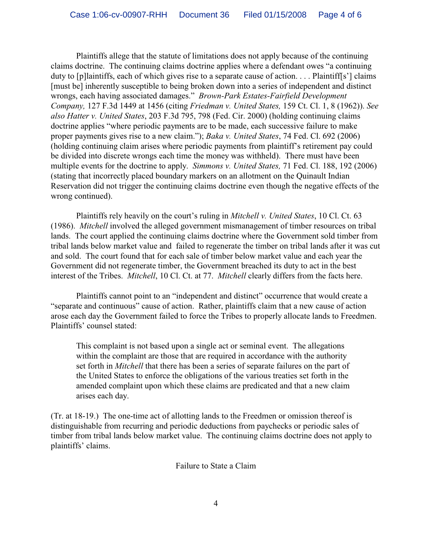Plaintiffs allege that the statute of limitations does not apply because of the continuing claims doctrine. The continuing claims doctrine applies where a defendant owes "a continuing duty to [p]laintiffs, each of which gives rise to a separate cause of action. . . . Plaintiff[s'] claims [must be] inherently susceptible to being broken down into a series of independent and distinct wrongs, each having associated damages." *Brown-Park Estates-Fairfield Development Company,* 127 F.3d 1449 at 1456 (citing *Friedman v. United States,* 159 Ct. Cl. 1, 8 (1962)). *See also Hatter v. United States*, 203 F.3d 795, 798 (Fed. Cir. 2000) (holding continuing claims doctrine applies "where periodic payments are to be made, each successive failure to make proper payments gives rise to a new claim."); *Baka v. United States*, 74 Fed. Cl. 692 (2006) (holding continuing claim arises where periodic payments from plaintiff's retirement pay could be divided into discrete wrongs each time the money was withheld). There must have been multiple events for the doctrine to apply. *Simmons v. United States,* 71 Fed. Cl. 188, 192 (2006) (stating that incorrectly placed boundary markers on an allotment on the Quinault Indian Reservation did not trigger the continuing claims doctrine even though the negative effects of the wrong continued).

Plaintiffs rely heavily on the court's ruling in *Mitchell v. United States*, 10 Cl. Ct. 63 (1986). *Mitchell* involved the alleged government mismanagement of timber resources on tribal lands. The court applied the continuing claims doctrine where the Government sold timber from tribal lands below market value and failed to regenerate the timber on tribal lands after it was cut and sold. The court found that for each sale of timber below market value and each year the Government did not regenerate timber, the Government breached its duty to act in the best interest of the Tribes. *Mitchell*, 10 Cl. Ct. at 77. *Mitchell* clearly differs from the facts here.

Plaintiffs cannot point to an "independent and distinct" occurrence that would create a "separate and continuous" cause of action. Rather, plaintiffs claim that a new cause of action arose each day the Government failed to force the Tribes to properly allocate lands to Freedmen. Plaintiffs' counsel stated:

This complaint is not based upon a single act or seminal event. The allegations within the complaint are those that are required in accordance with the authority set forth in *Mitchell* that there has been a series of separate failures on the part of the United States to enforce the obligations of the various treaties set forth in the amended complaint upon which these claims are predicated and that a new claim arises each day.

(Tr. at 18-19.) The one-time act of allotting lands to the Freedmen or omission thereof is distinguishable from recurring and periodic deductions from paychecks or periodic sales of timber from tribal lands below market value. The continuing claims doctrine does not apply to plaintiffs' claims.

Failure to State a Claim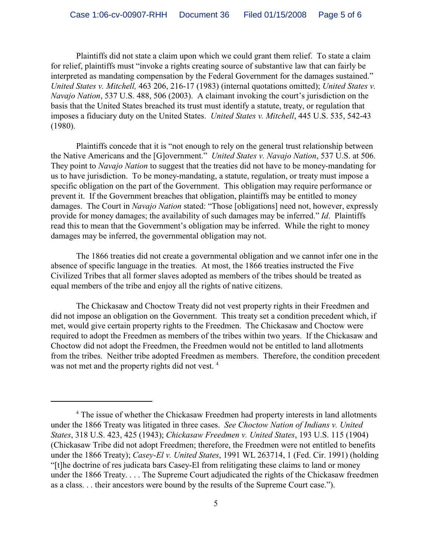Plaintiffs did not state a claim upon which we could grant them relief. To state a claim for relief, plaintiffs must "invoke a rights creating source of substantive law that can fairly be interpreted as mandating compensation by the Federal Government for the damages sustained." *United States v. Mitchell,* 463 206, 216-17 (1983) (internal quotations omitted); *United States v. Navajo Nation*, 537 U.S. 488, 506 (2003). A claimant invoking the court's jurisdiction on the basis that the United States breached its trust must identify a statute, treaty, or regulation that imposes a fiduciary duty on the United States. *United States v. Mitchell*, 445 U.S. 535, 542-43 (1980).

Plaintiffs concede that it is "not enough to rely on the general trust relationship between the Native Americans and the [G]overnment." *United States v. Navajo Nation*, 537 U.S. at 506. They point to *Navajo Nation* to suggest that the treaties did not have to be money-mandating for us to have jurisdiction. To be money-mandating, a statute, regulation, or treaty must impose a specific obligation on the part of the Government. This obligation may require performance or prevent it. If the Government breaches that obligation, plaintiffs may be entitled to money damages. The Court in *Navajo Nation* stated: "Those [obligations] need not, however, expressly provide for money damages; the availability of such damages may be inferred." *Id*. Plaintiffs read this to mean that the Government's obligation may be inferred. While the right to money damages may be inferred, the governmental obligation may not.

The 1866 treaties did not create a governmental obligation and we cannot infer one in the absence of specific language in the treaties. At most, the 1866 treaties instructed the Five Civilized Tribes that all former slaves adopted as members of the tribes should be treated as equal members of the tribe and enjoy all the rights of native citizens.

The Chickasaw and Choctow Treaty did not vest property rights in their Freedmen and did not impose an obligation on the Government. This treaty set a condition precedent which, if met, would give certain property rights to the Freedmen. The Chickasaw and Choctow were required to adopt the Freedmen as members of the tribes within two years. If the Chickasaw and Choctow did not adopt the Freedmen, the Freedmen would not be entitled to land allotments from the tribes. Neither tribe adopted Freedmen as members. Therefore, the condition precedent was not met and the property rights did not vest.<sup>4</sup>

<sup>&</sup>lt;sup>4</sup> The issue of whether the Chickasaw Freedmen had property interests in land allotments under the 1866 Treaty was litigated in three cases. *See Choctow Nation of Indians v. United States*, 318 U.S. 423, 425 (1943); *Chickasaw Freedmen v. United States*, 193 U.S. 115 (1904) (Chickasaw Tribe did not adopt Freedmen; therefore, the Freedmen were not entitled to benefits under the 1866 Treaty); *Casey-El v. United States*, 1991 WL 263714, 1 (Fed. Cir. 1991) (holding "[t]he doctrine of res judicata bars Casey-El from relitigating these claims to land or money under the 1866 Treaty. . . . The Supreme Court adjudicated the rights of the Chickasaw freedmen as a class. . . their ancestors were bound by the results of the Supreme Court case.").